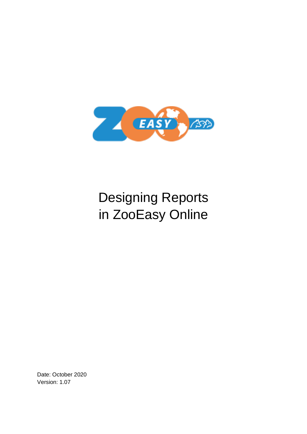

# Designing Reports in ZooEasy Online

Date: October 2020 Version: 1.07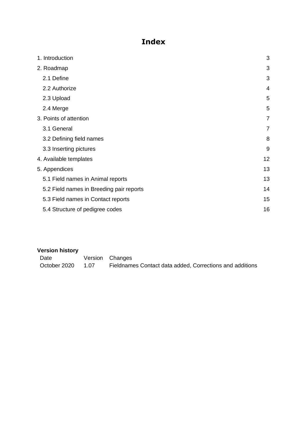#### **Index**

| 1. Introduction                          | 3  |
|------------------------------------------|----|
| 2. Roadmap                               | 3  |
| 2.1 Define                               | 3  |
| 2.2 Authorize                            | 4  |
| 2.3 Upload                               | 5  |
| 2.4 Merge                                | 5  |
| 3. Points of attention                   | 7  |
| 3.1 General                              | 7  |
| 3.2 Defining field names                 | 8  |
| 3.3 Inserting pictures                   | 9  |
| 4. Available templates                   | 12 |
| 5. Appendices                            | 13 |
| 5.1 Field names in Animal reports        | 13 |
| 5.2 Field names in Breeding pair reports | 14 |
| 5.3 Field names in Contact reports       | 15 |
| 5.4 Structure of pedigree codes          | 16 |

## **Version history**

Version Changes October 2020 1.07 Fieldnames Contact data added, Corrections and additions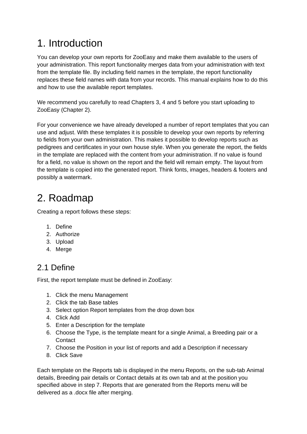## <span id="page-2-0"></span>1. Introduction

You can develop your own reports for ZooEasy and make them available to the users of your administration. This report functionality merges data from your administration with text from the template file. By including field names in the template, the report functionality replaces these field names with data from your records. This manual explains how to do this and how to use the available report templates.

We recommend you carefully to read Chapters 3, 4 and 5 before you start uploading to ZooEasy (Chapter 2).

For your convenience we have already developed a number of report templates that you can use and adjust. With these templates it is possible to develop your own reports by referring to fields from your own administration. This makes it possible to develop reports such as pedigrees and certificates in your own house style. When you generate the report, the fields in the template are replaced with the content from your administration. If no value is found for a field, no value is shown on the report and the field will remain empty. The layout from the template is copied into the generated report. Think fonts, images, headers & footers and possibly a watermark.

### <span id="page-2-1"></span>2. Roadmap

Creating a report follows these steps:

- 1. Define
- 2. Authorize
- 3. Upload
- 4. Merge

### <span id="page-2-2"></span>2.1 Define

First, the report template must be defined in ZooEasy:

- 1. Click the menu Management
- 2. Click the tab Base tables
- 3. Select option Report templates from the drop down box
- 4. Click Add
- 5. Enter a Description for the template
- 6. Choose the Type, is the template meant for a single Animal, a Breeding pair or a **Contact**
- 7. Choose the Position in your list of reports and add a Description if necessary
- 8. Click Save

Each template on the Reports tab is displayed in the menu Reports, on the sub-tab Animal details, Breeding pair details or Contact details at its own tab and at the position you specified above in step 7. Reports that are generated from the Reports menu will be delivered as a .docx file after merging.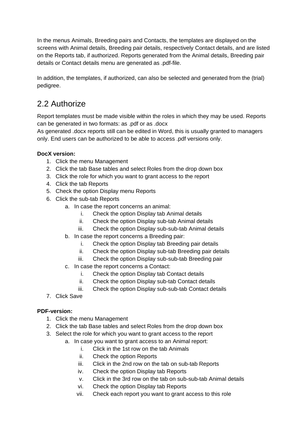In the menus Animals, Breeding pairs and Contacts, the templates are displayed on the screens with Animal details, Breeding pair details, respectively Contact details, and are listed on the Reports tab, if authorized. Reports generated from the Animal details, Breeding pair details or Contact details menu are generated as .pdf-file.

In addition, the templates, if authorized, can also be selected and generated from the (trial) pedigree.

#### <span id="page-3-0"></span>2.2 Authorize

Report templates must be made visible within the roles in which they may be used. Reports can be generated in two formats: as .pdf or as .docx

As generated .docx reports still can be edited in Word, this is usually granted to managers only. End users can be authorized to be able to access .pdf versions only.

#### **DocX version:**

- 1. Click the menu Management
- 2. Click the tab Base tables and select Roles from the drop down box
- 3. Click the role for which you want to grant access to the report
- 4. Click the tab Reports
- 5. Check the option Display menu Reports
- 6. Click the sub-tab Reports
	- a. In case the report concerns an animal:
		- i. Check the option Display tab Animal details
		- ii. Check the option Display sub-tab Animal details
		- iii. Check the option Display sub-sub-tab Animal details
	- b. In case the report concerns a Breeding pair:
		- i. Check the option Display tab Breeding pair details
		- ii. Check the option Display sub-tab Breeding pair details
		- iii. Check the option Display sub-sub-tab Breeding pair
	- c. In case the report concerns a Contact:
		- i. Check the option Display tab Contact details
		- ii. Check the option Display sub-tab Contact details
		- iii. Check the option Display sub-sub-tab Contact details
- 7. Click Save

#### **PDF-version:**

- 1. Click the menu Management
- 2. Click the tab Base tables and select Roles from the drop down box
- 3. Select the role for which you want to grant access to the report
	- a. In case you want to grant access to an Animal report:
		- i. Click in the 1st row on the tab Animals
		- ii. Check the option Reports
		- iii. Click in the 2nd row on the tab on sub-tab Reports
		- iv. Check the option Display tab Reports
		- v. Click in the 3rd row on the tab on sub-sub-tab Animal details
		- vi. Check the option Display tab Reports
		- vii. Check each report you want to grant access to this role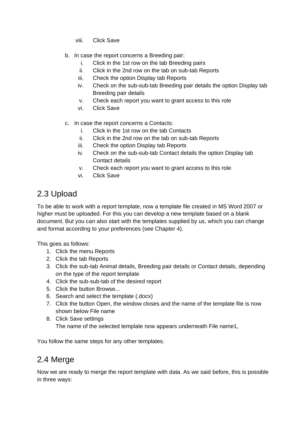- viii. Click Save
- b. In case the report concerns a Breeding pair:
	- i. Click in the 1st row on the tab Breeding pairs
	- ii. Click in the 2nd row on the tab on sub-tab Reports
	- iii. Check the option Display tab Reports
	- iv. Check on the sub-sub-tab Breeding pair details the option Display tab Breeding pair details
	- v. Check each report you want to grant access to this role
	- vi. Click Save
- c. In case the report concerns a Contacts:
	- i. Click in the 1st row on the tab Contacts
	- ii. Click in the 2nd row on the tab on sub-tab Reports
	- iii. Check the option Display tab Reports
	- iv. Check on the sub-sub-tab Contact details the option Display tab Contact details
	- v. Check each report you want to grant access to this role
	- vi. Click Save

#### <span id="page-4-0"></span>2.3 Upload

To be able to work with a report template, now a template file created in MS Word 2007 or higher must be uploaded. For this you can develop a new template based on a blank document. But you can also start with the templates supplied by us, which you can change and format according to your preferences (see Chapter 4).

This goes as follows:

- 1. Click the menu Reports
- 2. Click the tab Reports
- 3. Click the sub-tab Animal details, Breeding pair details or Contact details, depending on the type of the report template
- 4. Click the sub-sub-tab of the desired report
- 5. Click the button Browse...
- 6. Search and select the template (.docx)
- 7. Click the button Open, the window closes and the name of the template file is now shown below File name
- 8. Click Save settings The name of the selected template now appears underneath File name1,

<span id="page-4-1"></span>You follow the same steps for any other templates.

#### 2.4 Merge

Now we are ready to merge the report template with data. As we said before, this is possible in three ways: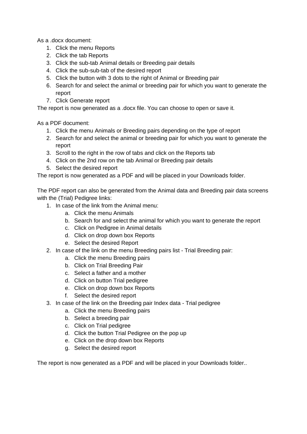As a .docx document:

- 1. Click the menu Reports
- 2. Click the tab Reports
- 3. Click the sub-tab Animal details or Breeding pair details
- 4. Click the sub-sub-tab of the desired report
- 5. Click the button with 3 dots to the right of Animal or Breeding pair
- 6. Search for and select the animal or breeding pair for which you want to generate the report
- 7. Click Generate report

The report is now generated as a .docx file. You can choose to open or save it.

As a PDF document:

- 1. Click the menu Animals or Breeding pairs depending on the type of report
- 2. Search for and select the animal or breeding pair for which you want to generate the report
- 3. Scroll to the right in the row of tabs and click on the Reports tab
- 4. Click on the 2nd row on the tab Animal or Breeding pair details
- 5. Select the desired report

The report is now generated as a PDF and will be placed in your Downloads folder.

The PDF report can also be generated from the Animal data and Breeding pair data screens with the (Trial) Pedigree links:

- 1. In case of the link from the Animal menu:
	- a. Click the menu Animals
	- b. Search for and select the animal for which you want to generate the report
	- c. Click on Pedigree in Animal details
	- d. Click on drop down box Reports
	- e. Select the desired Report
- 2. In case of the link on the menu Breeding pairs list Trial Breeding pair:
	- a. Click the menu Breeding pairs
	- b. Click on Trial Breeding Pair
	- c. Select a father and a mother
	- d. Click on button Trial pedigree
	- e. Click on drop down box Reports
	- f. Select the desired report
- 3. In case of the link on the Breeding pair Index data Trial pedigree
	- a. Click the menu Breeding pairs
	- b. Select a breeding pair
	- c. Click on Trial pedigree
	- d. Click the button Trial Pedigree on the pop up
	- e. Click on the drop down box Reports
	- g. Select the desired report

The report is now generated as a PDF and will be placed in your Downloads folder..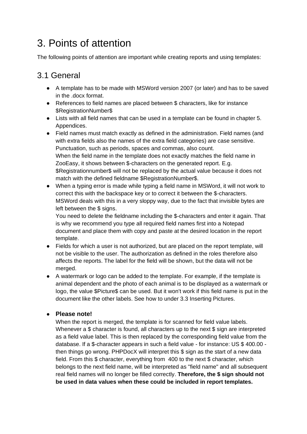### <span id="page-6-0"></span>3. Points of attention

<span id="page-6-1"></span>The following points of attention are important while creating reports and using templates:

#### 3.1 General

- A template has to be made with MSWord version 2007 (or later) and has to be saved in the .docx format.
- References to field names are placed between \$ characters, like for instance \$RegistrationNumber\$
- Lists with all field names that can be used in a template can be found in chapter 5. Appendices.
- Field names must match exactly as defined in the administration. Field names (and with extra fields also the names of the extra field categories) are case sensitive. Punctuation, such as periods, spaces and commas, also count. When the field name in the template does not exactly matches the field name in ZooEasy, it shows between \$-characters on the generated report. E.g. \$Registrationnumber\$ will not be replaced by the actual value because it does not match with the defined fieldname \$RegistrationNumber\$.
- When a typing error is made while typing a field name in MSWord, it will not work to correct this with the backspace key or to correct it between the \$-characters. MSWord deals with this in a very sloppy way, due to the fact that invisible bytes are left between the \$ signs.

You need to delete the fieldname including the \$-characters and enter it again. That is why we recommend you type all required field names first into a Notepad document and place them with copy and paste at the desired location in the report template.

- Fields for which a user is not authorized, but are placed on the report template, will not be visible to the user. The authorization as defined in the roles therefore also affects the reports. The label for the field will be shown, but the data will not be merged.
- A watermark or logo can be added to the template. For example, if the template is animal dependent and the photo of each animal is to be displayed as a watermark or logo, the value \$Picture\$ can be used. But it won't work if this field name is put in the document like the other labels. See how to under 3.3 Inserting Pictures.

#### ● **Please note!**

When the report is merged, the template is for scanned for field value labels. Whenever a \$ character is found, all characters up to the next \$ sign are interpreted as a field value label. This is then replaced by the corresponding field value from the database. If a \$-character appears in such a field value - for instance: US \$ 400.00 then things go wrong. PHPDocX will interpret this \$ sign as the start of a new data field. From this \$ character, everything from 400 to the next \$ character, which belongs to the next field name, will be interpreted as "field name" and all subsequent real field names will no longer be filled correctly. **Therefore, the \$ sign should not be used in data values when these could be included in report templates.**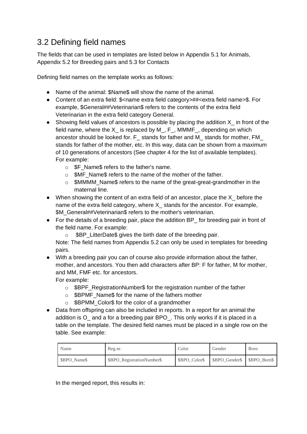#### <span id="page-7-0"></span>3.2 Defining field names

The fields that can be used in templates are listed below in Appendix 5.1 for Animals, Appendix 5.2 for Breeding pairs and 5.3 for Contacts

Defining field names on the template works as follows:

- Name of the animal: \$Name\$ will show the name of the animal.
- Content of an extra field: \$<name extra field category>##<extra field name>\$. For example, \$General##Veterinarian\$ refers to the contents of the extra field Veterinarian in the extra field category General.
- Showing field values of ancestors is possible by placing the addition  $X$  in front of the field name, where the  $X$  is replaced by M, F, MMMF, depending on which ancestor should be looked for. F\_ stands for father and M\_ stands for mother, FM\_ stands for father of the mother, etc. In this way, data can be shown from a maximum of 10 generations of ancestors (See chapter 4 for the list of available templates). For example:
	- o **\$F** Name\$ refers to the father's name.
	- o \$MF\_Name\$ refers to the name of the mother of the father.
	- $\circ$  \$MMMM\_Name\$ refers to the name of the great-great-grandmother in the maternal line.
- When showing the content of an extra field of an ancestor, place the  $X$  before the name of the extra field category, where X\_ stands for the ancestor. For example, \$M General##Veterinarian\$ refers to the mother's veterinarian.
- For the details of a breeding pair, place the addition BP for breeding pair in front of the field name. For example:
	- $\circ$  \$BP LitterDate\$ gives the birth date of the breeding pair.

Note: The field names from Appendix 5.2 can only be used in templates for breeding pairs.

● With a breeding pair you can of course also provide information about the father, mother, and ancestors. You then add characters after BP: F for father, M for mother, and MM, FMF etc. for ancestors.

For example:

- $\circ$  \$BPF\_RegistrationNumber\$ for the registration number of the father
- o \$BPMF\_Name\$ for the name of the fathers mother
- $\circ$  \$BPMM Color\$ for the color of a grandmother
- Data from offspring can also be included in reports. In a report for an animal the addition is O\_ and a for a breeding pair BPO\_. This only works if it is placed in a table on the template. The desired field names must be placed in a single row on the table. See example:

| Name         | Reg.nr.                    | Color         | Gender                      | Born |
|--------------|----------------------------|---------------|-----------------------------|------|
| \$BPO Name\$ | \$BPO_RegistrationNumber\$ | \$BPO Color\$ | \$BPO_Gender\$ \$BPO_Born\$ |      |

In the merged report, this results in: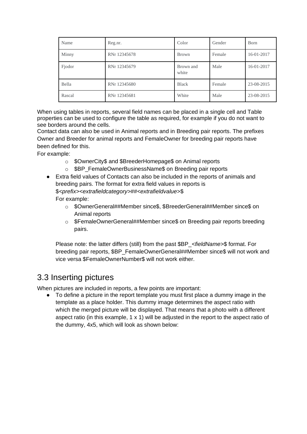| Name   | Reg.nr.      | Color              | Gender | Born       |
|--------|--------------|--------------------|--------|------------|
| Minny  | RNr 12345678 | <b>Brown</b>       | Female | 16-01-2017 |
| Fjodor | RNr 12345679 | Brown and<br>white | Male   | 16-01-2017 |
| Bella  | RNr 12345680 | <b>Black</b>       | Female | 23-08-2015 |
| Rascal | RNr 12345681 | White              | Male   | 23-08-2015 |

When using tables in reports, several field names can be placed in a single cell and Table properties can be used to configure the table as required, for example if you do not want to see borders around the cells.

Contact data can also be used in Animal reports and in Breeding pair reports. The prefixes Owner and Breeder for animal reports and FemaleOwner for breeding pair reports have been defined for this.

For example:

- o \$OwnerCity\$ and \$BreederHomepage\$ on Animal reports
- o \$BP\_FemaleOwnerBusinessName\$ on Breeding pair reports
- Extra field values of Contacts can also be included in the reports of animals and breeding pairs. The format for extra field values in reports is \$*<prefix><extrafieldcategory>##<extrafieldvalue>*\$ For example:
	- o \$OwnerGeneral##Member since\$, \$BreederGeneral##Member since\$ on Animal reports
	- o \$FemaleOwnerGeneral##Member since\$ on Breeding pair reports breeding pairs.

Please note: the latter differs (still) from the past \$BP\_*<fieldName>*\$ format. For breeding pair reports, \$BP\_FemaleOwnerGeneral##Member since\$ will not work and vice versa \$FemaleOwnerNumber\$ will not work either.

#### <span id="page-8-0"></span>3.3 Inserting pictures

When pictures are included in reports, a few points are important:

To define a picture in the report template you must first place a dummy image in the template as a place holder. This dummy image determines the aspect ratio with which the merged picture will be displayed. That means that a photo with a different aspect ratio (in this example,  $1 \times 1$ ) will be adjusted in the report to the aspect ratio of the dummy, 4x5, which will look as shown below: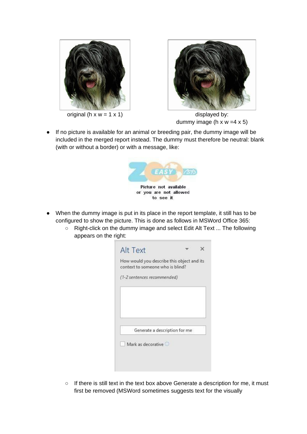

original (h  $x w = 1 x 1$ ) displayed by:



dummy image (h  $x \le -4 \times 5$ )

● If no picture is available for an animal or breeding pair, the dummy image will be included in the merged report instead. The dummy must therefore be neutral: blank (with or without a border) or with a message, like:



- When the dummy image is put in its place in the report template, it still has to be configured to show the picture. This is done as follows in MSWord Office 365:
	- Right-click on the dummy image and select Edit Alt Text ... The following appears on the right:

| How would you describe this object and its<br>context to someone who is blind? |  |
|--------------------------------------------------------------------------------|--|
| (1-2 sentences recommended)                                                    |  |
|                                                                                |  |
|                                                                                |  |
| Generate a description for me                                                  |  |
|                                                                                |  |
|                                                                                |  |

○ If there is still text in the text box above Generate a description for me, it must first be removed (MSWord sometimes suggests text for the visually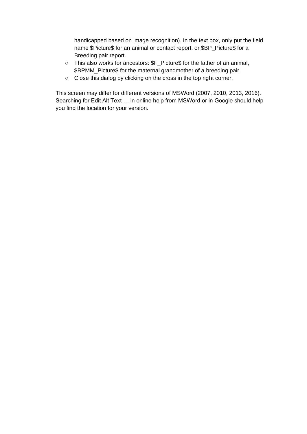handicapped based on image recognition). In the text box, only put the field name \$Picture\$ for an animal or contact report, or \$BP\_Picture\$ for a Breeding pair report.

- This also works for ancestors: \$F\_Picture\$ for the father of an animal, \$BPMM\_Picture\$ for the maternal grandmother of a breeding pair.
- Close this dialog by clicking on the cross in the top right corner.

This screen may differ for different versions of MSWord (2007, 2010, 2013, 2016). Searching for Edit Alt Text … in online help from MSWord or in Google should help you find the location for your version.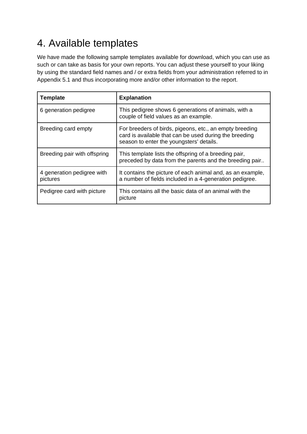## <span id="page-11-0"></span>4. Available templates

We have made the following sample templates available for download, which you can use as such or can take as basis for your own reports. You can adjust these yourself to your liking by using the standard field names and / or extra fields from your administration referred to in Appendix 5.1 and thus incorporating more and/or other information to the report.

| <b>Template</b>                        | <b>Explanation</b>                                                                                                                                            |
|----------------------------------------|---------------------------------------------------------------------------------------------------------------------------------------------------------------|
| 6 generation pedigree                  | This pedigree shows 6 generations of animals, with a<br>couple of field values as an example.                                                                 |
| Breeding card empty                    | For breeders of birds, pigeons, etc., an empty breeding<br>card is available that can be used during the breeding<br>season to enter the youngsters' details. |
| Breeding pair with offspring           | This template lists the offspring of a breeding pair,<br>preceded by data from the parents and the breeding pair                                              |
| 4 generation pedigree with<br>pictures | It contains the picture of each animal and, as an example,<br>a number of fields included in a 4-generation pedigree.                                         |
| Pedigree card with picture             | This contains all the basic data of an animal with the<br>picture                                                                                             |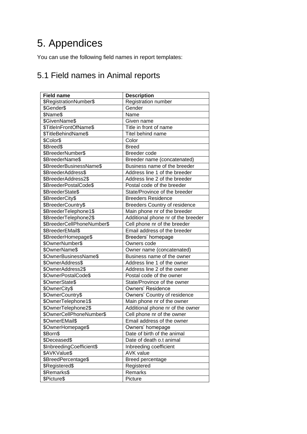## <span id="page-12-0"></span>5. Appendices

You can use the following field names in report templates:

### <span id="page-12-1"></span>5.1 Field names in Animal reports

| <b>Field name</b>          | <b>Description</b>                   |
|----------------------------|--------------------------------------|
| \$RegistrationNumber\$     | Registration number                  |
| \$Gender\$                 | Gender                               |
| \$Name\$                   | Name                                 |
| \$GivenName\$              | Given name                           |
| \$TitleInFrontOfName\$     | Title in front of name               |
| \$TitleBehindName\$        | Titel behind name                    |
| \$Color\$                  | Color                                |
| \$Breed\$                  | <b>Breed</b>                         |
| \$BreederNumber\$          | Breeder code                         |
| \$BreederName\$            | Breeder name (concatenated)          |
| \$BreederBusinessName\$    | Business name of the breeder         |
| \$BreederAddress\$         | Address line 1 of the breeder        |
| \$BreederAddress2\$        | Address line 2 of the breeder        |
| \$BreederPostalCode\$      | Postal code of the breeder           |
| \$BreederState\$           | State/Province of the breeder        |
| \$BreederCity\$            | <b>Breeders Residence</b>            |
| \$BreederCountry\$         | <b>Breeders Country of residence</b> |
| \$BreederTelephone1\$      | Main phone nr of the breeder         |
| \$BreederTelephone2\$      | Additional phone nr of the breeder   |
| \$BreederCellPhoneNumber\$ | Cell phone nr of the breeder         |
| \$BreederEMail\$           | Email address of the breeder         |
| \$BreederHomepage\$        | Breeders' homepage                   |
| \$OwnerNumber\$            | Owners code                          |
| \$OwnerName\$              | Owner name (concatenated)            |
| \$OwnerBusinessName\$      | Business name of the owner           |
| \$OwnerAddress\$           | Address line 1 of the owner          |
| \$OwnerAddress2\$          | Address line 2 of the owner          |
| \$OwnerPostalCode\$        | Postal code of the owner             |
| \$OwnerState\$             | State/Province of the owner          |
| \$OwnerCity\$              | <b>Owners' Residence</b>             |
| \$OwnerCountry\$           | Owners' Country of residence         |
| \$OwnerTelephone1\$        | Main phone nr of the owner           |
| \$OwnerTelephone2\$        | Additional phone nr of the owner     |
| \$OwnerCellPhoneNumber\$   | Cell phone nr of the owner           |
| \$OwnerEMail\$             | Email address of the owner           |
| \$OwnerHomepage\$          | Owners' homepage                     |
| \$Born\$                   | Date of birth of the animal          |
| \$Deceased\$               | Date of death o.t animal             |
| \$InbreedingCoefficient\$  | Inbreeding coefficient               |
| \$AVKValue\$               | <b>AVK value</b>                     |
| \$BreedPercentage\$        | Breed percentage                     |
| \$Registered\$             | Registered                           |
| \$Remarks\$                | Remarks                              |
| \$Picture\$                | Picture                              |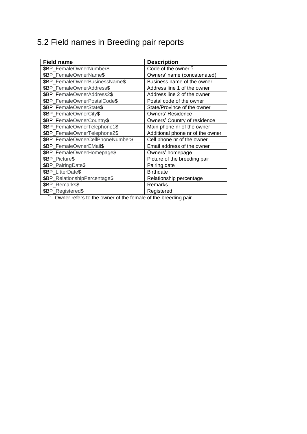### <span id="page-13-0"></span>5.2 Field names in Breeding pair reports

| <b>Field name</b>                 | <b>Description</b>               |
|-----------------------------------|----------------------------------|
| \$BP FemaleOwnerNumber\$          | Code of the owner <sup>*</sup>   |
| \$BP FemaleOwnerName\$            | Owners' name (concatenated)      |
| \$BP FemaleOwnerBusinessName\$    | Business name of the owner       |
| \$BP_FemaleOwnerAddress\$         | Address line 1 of the owner      |
| \$BP_FemaleOwnerAddress2\$        | Address line 2 of the owner      |
| \$BP_FemaleOwnerPostalCode\$      | Postal code of the owner         |
| \$BP FemaleOwnerState\$           | State/Province of the owner      |
| \$BP_FemaleOwnerCity\$            | <b>Owners' Residence</b>         |
| \$BP_FemaleOwnerCountry\$         | Owners' Country of residence     |
| \$BP_FemaleOwnerTelephone1\$      | Main phone nr of the owner       |
| \$BP_FemaleOwnerTelephone2\$      | Additional phone nr of the owner |
| \$BP_FemaleOwnerCellPhoneNumber\$ | Cell phone nr of the owner       |
| \$BP FemaleOwnerEMail\$           | Email address of the owner       |
| \$BP_FemaleOwnerHomepage\$        | Owners' homepage                 |
| \$BP Picture\$                    | Picture of the breeding pair     |
| \$BP_PairingDate\$                | Pairing date                     |
| \$BP_LitterDate\$                 | <b>Birthdate</b>                 |
| \$BP_RelationshipPercentage\$     | Relationship percentage          |
| \$BP_Remarks\$                    | Remarks                          |
| \$BP_Registered\$                 | Registered                       |

\*) Owner refers to the owner of the female of the breeding pair.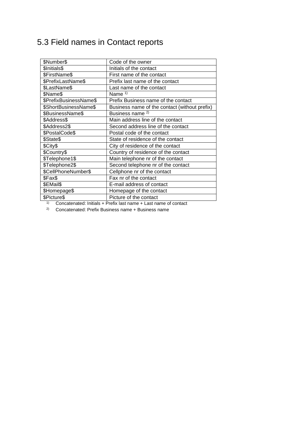### <span id="page-14-0"></span>5.3 Field names in Contact reports

| \$Number\$             | Code of the owner                             |
|------------------------|-----------------------------------------------|
| \$Initials\$           | Initials of the contact                       |
| \$FirstName\$          | First name of the contact                     |
| \$PrefixLastName\$     | Prefix last name of the contact               |
| \$LastName\$           | Last name of the contact                      |
| \$Name\$               | Name $1$                                      |
| \$PrefixBusinessName\$ | Prefix Business name of the contact           |
| \$ShortBusinessName\$  | Business name of the contact (without prefix) |
| \$BusinessName\$       | Business name <sup>2)</sup>                   |
| \$Address\$            | Main address line of the contact              |
| \$Address2\$           | Second address line of the contact            |
| \$PostalCode\$         | Postal code of the contact                    |
| \$State\$              | State of residence of the contact             |
| \$City\$               | City of residence of the contact              |
| \$Country\$            | Country of residence of the contact           |
| \$Telephone1\$         | Main telephone nr of the contact              |
| \$Telephone2\$         | Second telephone nr of the contact            |
| \$CellPhoneNumber\$    | Cellphone nr of the contact                   |
| \$Fax\$                | Fax nr of the contact                         |
| \$EMail\$              | E-mail address of contact                     |
| \$Homepage\$           | Homepage of the contact                       |
| \$Picture\$            | Picture of the contact                        |

1) Concatenated: Initials + Prefix last name + Last name of contact

2) Concatenated: Prefix Business name + Business name